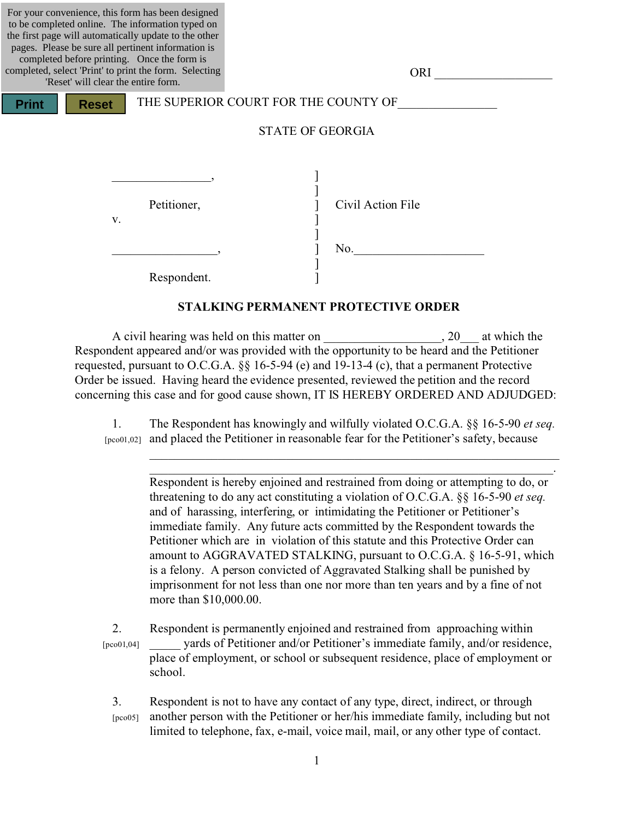For your convenience, this form has been designed to be completed online. The information typed on the first page will automatically update to the other pages. Please be sure all pertinent information is completed before printing. Once the form is completed, select 'Print' to print the form. Selecting

**Print Reset**

| 'Reset' will clear the entire form. |             |                                      |                   |  |
|-------------------------------------|-------------|--------------------------------------|-------------------|--|
| <b>Reset</b><br>nt                  |             | THE SUPERIOR COURT FOR THE COUNTY OF |                   |  |
|                                     |             | <b>STATE OF GEORGIA</b>              |                   |  |
| V.                                  | Petitioner, |                                      | Civil Action File |  |
|                                     |             |                                      | No.               |  |

Respondent.

### **STALKING PERMANENT PROTECTIVE ORDER**

]

ORI

A civil hearing was held on this matter on  $\qquad \qquad$ , 20 at which the Respondent appeared and/or was provided with the opportunity to be heard and the Petitioner requested, pursuant to O.C.G.A. §§ 16-5-94 (e) and 19-13-4 (c), that a permanent Protective Order be issued. Having heard the evidence presented, reviewed the petition and the record concerning this case and for good cause shown, IT IS HEREBY ORDERED AND ADJUDGED:

1. The Respondent has knowingly and wilfully violated O.C.G.A. §§ 16-5-90 *et seq.* [pco01,02] and placed the Petitioner in reasonable fear for the Petitioner's safety, because

Respondent is hereby enjoined and restrained from doing or attempting to do, or threatening to do any act constituting a violation of O.C.G.A. §§ 16-5-90 *et seq.* and of harassing, interfering, or intimidating the Petitioner or Petitioner's immediate family. Any future acts committed by the Respondent towards the Petitioner which are in violation of this statute and this Protective Order can amount to AGGRAVATED STALKING, pursuant to O.C.G.A. § 16-5-91, which is a felony. A person convicted of Aggravated Stalking shall be punished by imprisonment for not less than one nor more than ten years and by a fine of not more than \$10,000.00.

\_\_\_\_\_\_\_\_\_\_\_\_\_\_\_\_\_\_\_\_\_\_\_\_\_\_\_\_\_\_\_\_\_\_\_\_\_\_\_\_\_\_\_\_\_\_\_\_\_\_\_\_\_\_\_\_\_\_\_\_\_\_\_\_\_\_ \_\_\_\_\_\_\_\_\_\_\_\_\_\_\_\_\_\_\_\_\_\_\_\_\_\_\_\_\_\_\_\_\_\_\_\_\_\_\_\_\_\_\_\_\_\_\_\_\_\_\_\_\_\_\_\_\_\_\_\_\_\_\_\_\_.

2. Respondent is permanently enjoined and restrained from approaching within [pco01,04] yards of Petitioner and/or Petitioner's immediate family, and/or residence, place of employment, or school or subsequent residence, place of employment or school.

3. Respondent is not to have any contact of any type, direct, indirect, or through [pco05] another person with the Petitioner or her/his immediate family, including but not limited to telephone, fax, e-mail, voice mail, mail, or any other type of contact.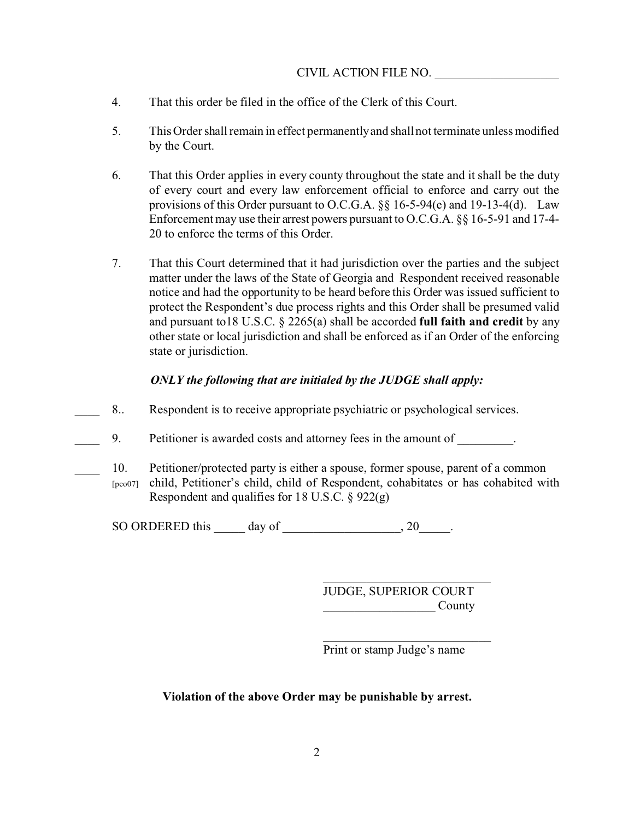# CIVIL ACTION FILE NO.

- 4. That this order be filed in the office of the Clerk of this Court.
- 5. This Order shall remain in effect permanently and shall not terminate unless modified by the Court.
- 6. That this Order applies in every county throughout the state and it shall be the duty of every court and every law enforcement official to enforce and carry out the provisions of this Order pursuant to O.C.G.A. §§ 16-5-94(e) and 19-13-4(d). Law Enforcement may use their arrest powers pursuant to O.C.G.A. §§ 16-5-91 and 17-4- 20 to enforce the terms of this Order.
- 7. That this Court determined that it had jurisdiction over the parties and the subject matter under the laws of the State of Georgia and Respondent received reasonable notice and had the opportunity to be heard before this Order was issued sufficient to protect the Respondent's due process rights and this Order shall be presumed valid and pursuant to18 U.S.C. § 2265(a) shall be accorded **full faith and credit** by any other state or local jurisdiction and shall be enforced as if an Order of the enforcing state or jurisdiction.

# *ONLY the following that are initialed by the JUDGE shall apply:*

- 8.. Respondent is to receive appropriate psychiatric or psychological services.
- 9. Petitioner is awarded costs and attorney fees in the amount of  $\qquad \qquad$ .
	- 10. Petitioner/protected party is either a spouse, former spouse, parent of a common [pco07] child, Petitioner's child, child of Respondent, cohabitates or has cohabited with Respondent and qualifies for 18 U.S.C.  $\S$  922(g)

SO ORDERED this day of the control of the control of the control of the control of the control of the control of the control of the control of the control of the control of the control of the control of the control of the

JUDGE, SUPERIOR COURT  $Countv$ 

\_\_\_\_\_\_\_\_\_\_\_\_\_\_\_\_\_\_\_\_\_\_\_\_\_\_\_

Print or stamp Judge's name

# **Violation of the above Order may be punishable by arrest.**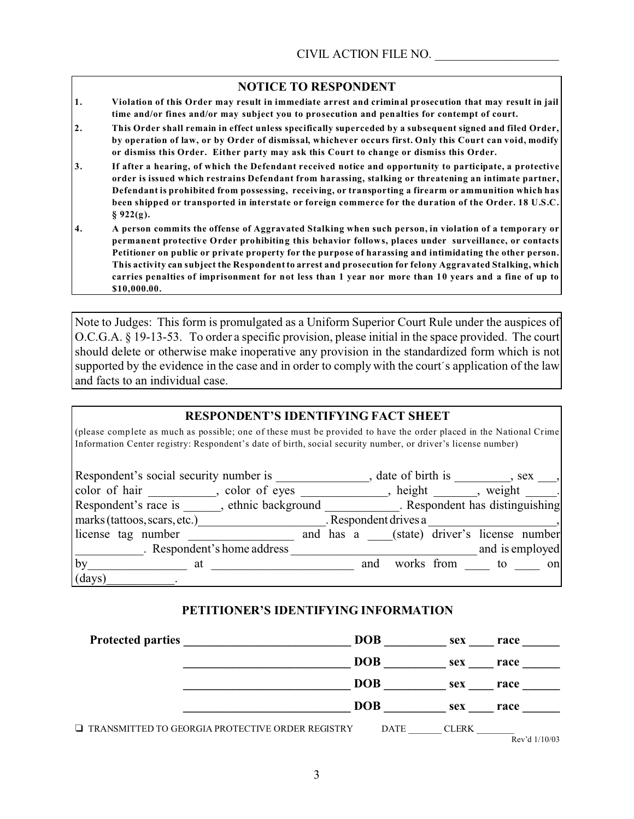# **NOTICE TO RESPONDENT**

- **1. Violation of this Order may result in immediate arrest and criminal prosecution that may result in jail time and/or fines and/or may subject you to prosecution and penalties for contempt of court.**
- **2. This Order shall remain in effect unless specifically superceded by a subsequent signed and filed Order, by operation of law, or by Order of dismissal, whichever occurs first. Only this Court can void, modify or dismiss this Order. Either party may ask this Court to change or dismiss this Order.**
- **3. If after a hearing, of which the Defendant received notice and opportunity to participate, a protective order is issued which restrains Defendant from harassing, stalking or threatening an intimate partner, Defendant is prohibited from possessing, receiving, or transporting a firearm or ammunition which has been shipped or transported in interstate or foreign commerce for the duration of the Order. 18 U.S.C. § 922(g).**
- **4. A person commits the offense of Aggravated Stalking when such person, in violation of a temporary or permanent protective Order prohibiting this behavior follows, places under surveillance, or contacts Petitioner on public or private property for the purpose of harassing and intimidating the other person. This activity can subject the Respondent to arrest and prosecution for felony Aggravated Stalking, which carries penalties of imprisonment for not less than 1 year nor more than 10 years and a fine of up to \$10,000.00.**

Note to Judges: This form is promulgated as a Uniform Superior Court Rule under the auspices of O.C.G.A. § 19-13-53. To order a specific provision, please initial in the space provided. The court should delete or otherwise make inoperative any provision in the standardized form which is not supported by the evidence in the case and in order to comply with the court's application of the law and facts to an individual case.

#### **RESPONDENT'S IDENTIFYING FACT SHEET**

(please complete as much as possible; one of these must be provided to have the order placed in the National Crime Information Center registry: Respondent's date of birth, social security number, or driver's license number)

| Respondent's social security number is |                             |  |     | date of birth is      |                                           |       | $, sex$ ,       |
|----------------------------------------|-----------------------------|--|-----|-----------------------|-------------------------------------------|-------|-----------------|
| color of hair, color of eyes           |                             |  |     |                       | $h$ height                                |       | weight .        |
| Respondent's race is ethnic background |                             |  |     |                       | . Respondent has distinguishing           |       |                 |
| marks (tattoos, scars, etc.)           |                             |  |     | . Respondent drives a |                                           |       |                 |
| license tag number                     |                             |  |     |                       | and has a (state) driver's license number |       |                 |
|                                        | . Respondent's home address |  |     |                       |                                           |       | and is employed |
| by<br>at                               |                             |  | and |                       | works from                                | to to | on              |
| (days)                                 |                             |  |     |                       |                                           |       |                 |

# **PETITIONER'S IDENTIFYING INFORMATION**

| <b>Protected parties</b>                                | <b>DOB</b>  | sex          | race            |
|---------------------------------------------------------|-------------|--------------|-----------------|
|                                                         | <b>DOB</b>  | sex          | race            |
|                                                         | <b>DOB</b>  | sex          | race            |
|                                                         | <b>DOB</b>  | sex          | race            |
| $\Box$ TRANSMITTED TO GEORGIA PROTECTIVE ORDER REGISTRY | <b>DATE</b> | <b>CLERK</b> | Rev'd $1/10/03$ |